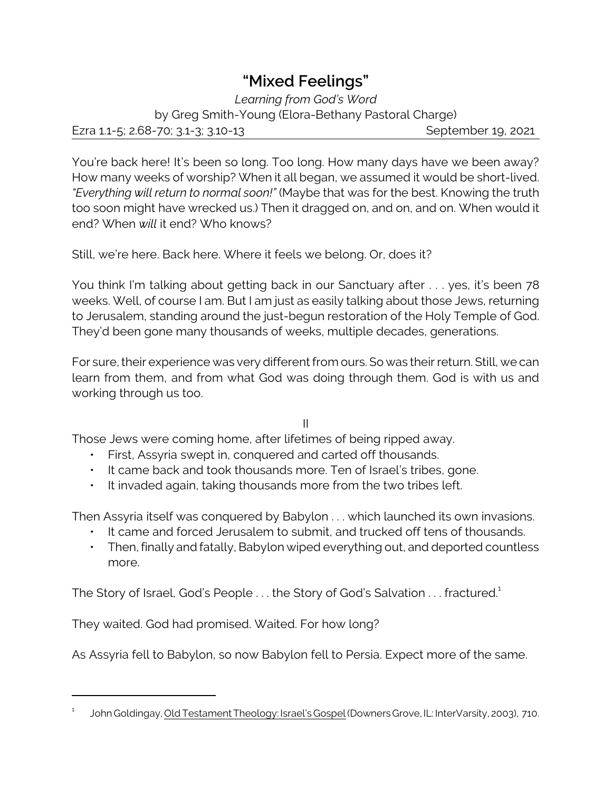## **"Mixed Feelings"**

*Learning from God's Word* by Greg Smith-Young (Elora-Bethany Pastoral Charge) Ezra 1.1-5; 2.68-70; 3.1-3; 3.10-13 September 19, 2021

You're back here! It's been so long. Too long. How many days have we been away? How many weeks of worship? When it all began, we assumed it would be short-lived. *"Everything will return to normal soon!"* (Maybe that was for the best. Knowing the truth too soon might have wrecked us.) Then it dragged on, and on, and on. When would it end? When *will* it end? Who knows?

Still, we're here. Back here. Where it feels we belong. Or, does it?

You think I'm talking about getting back in our Sanctuary after . . . yes, it's been 78 weeks. Well, of course I am. But I am just as easily talking about those Jews, returning to Jerusalem, standing around the just-begun restoration of the Holy Temple of God. They'd been gone many thousands of weeks, multiple decades, generations.

For sure, their experience was very different from ours. So was their return. Still, we can learn from them, and from what God was doing through them. God is with us and working through us too.

II

Those Jews were coming home, after lifetimes of being ripped away.

- First, Assyria swept in, conquered and carted off thousands.
- It came back and took thousands more. Ten of Israel's tribes, gone.
- It invaded again, taking thousands more from the two tribes left.

Then Assyria itself was conquered by Babylon . . . which launched its own invasions.

- It came and forced Jerusalem to submit, and trucked off tens of thousands.
- Then, finally and fatally, Babylon wiped everything out, and deported countless more.

The Story of Israel, God's People ... the Story of God's Salvation ... fractured.<sup>1</sup>

They waited. God had promised. Waited. For how long?

As Assyria fell to Babylon, so now Babylon fell to Persia. Expect more of the same.

<sup>1</sup> John Goldingay, Old Testament Theology: Israel's Gospel (Downers Grove, IL: InterVarsity, 2003), 710.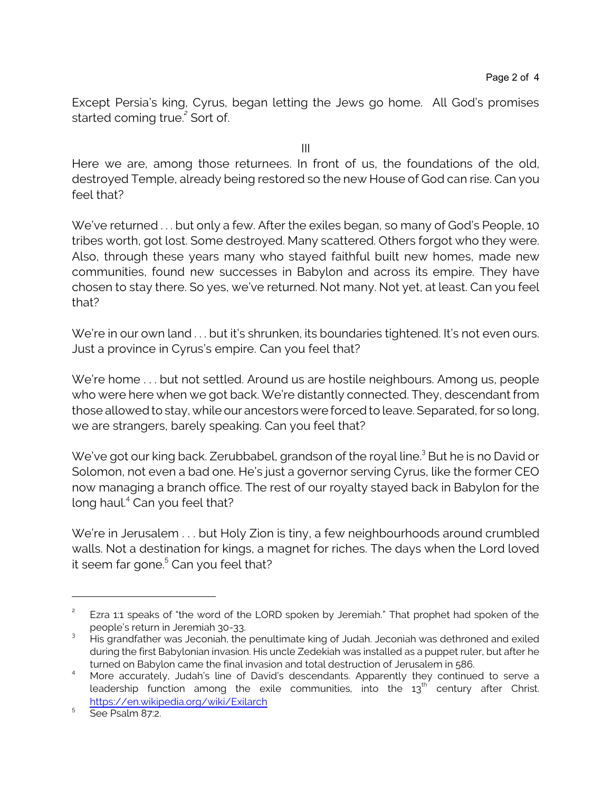Except Persia's king, Cyrus, began letting the Jews go home. All God's promises started coming true. *2* Sort of.

III

Here we are, among those returnees. In front of us, the foundations of the old, destroyed Temple, already being restored so the new House of God can rise. Can you feel that?

We've returned . . . but only a few. After the exiles began, so many of God's People, 10 tribes worth, got lost. Some destroyed. Many scattered. Others forgot who they were. Also, through these years many who stayed faithful built new homes, made new communities, found new successes in Babylon and across its empire. They have chosen to stay there. So yes, we've returned. Not many. Not yet, at least. Can you feel that?

We're in our own land ... but it's shrunken, its boundaries tightened. It's not even ours. Just a province in Cyrus's empire. Can you feel that?

We're home . . . but not settled. Around us are hostile neighbours. Among us, people who were here when we got back. We're distantly connected. They, descendant from those allowed to stay, while our ancestors were forced to leave. Separated, for so long, we are strangers, barely speaking. Can you feel that?

We've got our king back. Zerubbabel, grandson of the royal line.<sup>3</sup> But he is no David or Solomon, not even a bad one. He's just a governor serving Cyrus, like the former CEO now managing a branch office. The rest of our royalty stayed back in Babylon for the long haul.<sup>4</sup> Can you feel that?

We're in Jerusalem . . . but Holy Zion is tiny, a few neighbourhoods around crumbled walls. Not a destination for kings, a magnet for riches. The days when the Lord loved it seem far gone.<sup>5</sup> Can you feel that?

<sup>2</sup> Ezra 1:1 speaks of "the word of the LORD spoken by Jeremiah." That prophet had spoken of the people's return in Jeremiah 30-33.

 $3$  His grandfather was Jeconiah, the penultimate king of Judah. Jeconiah was dethroned and exiled during the first Babylonian invasion. His uncle Zedekiah was installed as a puppet ruler, but after he turned on Babylon came the final invasion and total destruction of Jerusalem in 586.

<sup>4</sup> More accurately, Judah's line of David's descendants. Apparently they continued to serve a leadership function among the exile communities, into the  $\rm 13^{th}$  century after Christ. <https://en.wikipedia.org/wiki/Exilarch>

<sup>5</sup> See Psalm 87:2.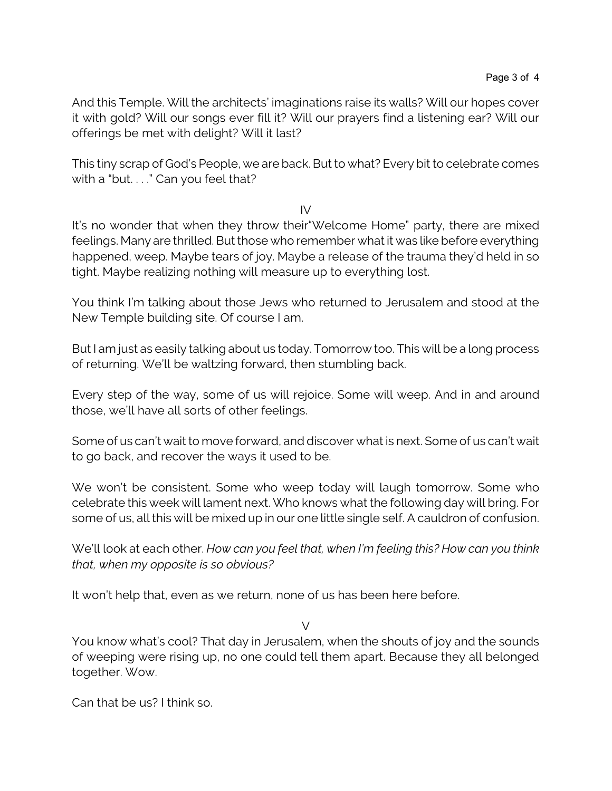And this Temple. Will the architects' imaginations raise its walls? Will our hopes cover it with gold? Will our songs ever fill it? Will our prayers find a listening ear? Will our offerings be met with delight? Will it last?

This tiny scrap of God's People, we are back. But to what? Every bit to celebrate comes with a "but. . . ." Can you feel that?

IV

It's no wonder that when they throw their"Welcome Home" party, there are mixed feelings. Many are thrilled. But those who remember what it was like before everything happened, weep. Maybe tears of joy. Maybe a release of the trauma they'd held in so tight. Maybe realizing nothing will measure up to everything lost.

You think I'm talking about those Jews who returned to Jerusalem and stood at the New Temple building site. Of course I am.

But I am just as easily talking about us today. Tomorrow too. This will be a long process of returning. We'll be waltzing forward, then stumbling back.

Every step of the way, some of us will rejoice. Some will weep. And in and around those, we'll have all sorts of other feelings.

Some of us can't wait to move forward, and discover what is next. Some of us can't wait to go back, and recover the ways it used to be.

We won't be consistent. Some who weep today will laugh tomorrow. Some who celebrate this week will lament next. Who knows what the following day will bring. For some of us, all this will be mixed up in our one little single self. A cauldron of confusion.

We'll look at each other. *How can you feel that, when I'm feeling this? How can you think that, when my opposite is so obvious?* 

It won't help that, even as we return, none of us has been here before.

 $\sqrt{}$ 

You know what's cool? That day in Jerusalem, when the shouts of joy and the sounds of weeping were rising up, no one could tell them apart. Because they all belonged together. Wow.

Can that be us? I think so.